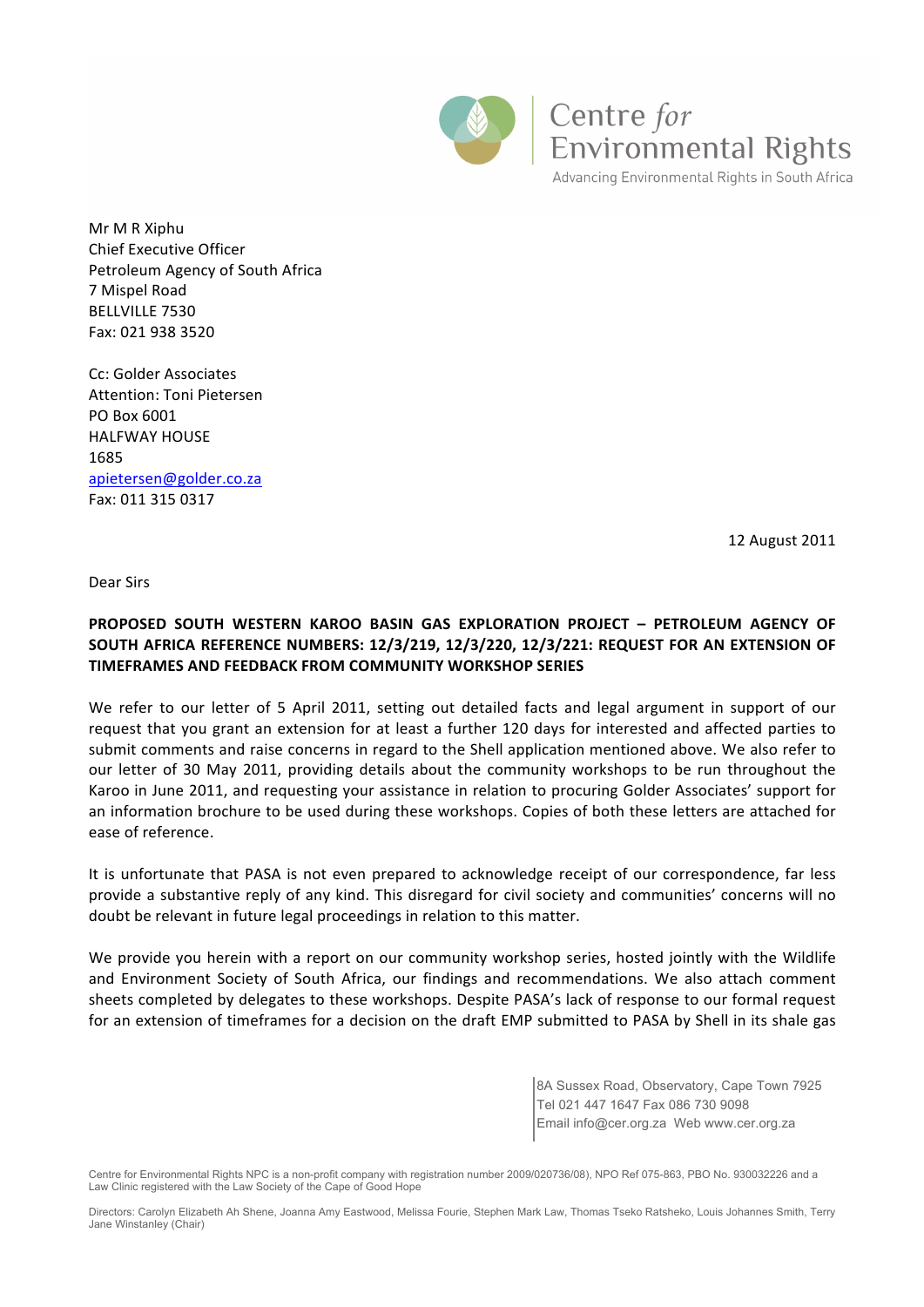

Centre for **Environmental Rights** Advancing Environmental Rights in South Africa

Mr M R Xiphu Chief Executive Officer Petroleum Agency of South Africa 7 Mispel Road BELLVILLE 7530 Fax: 021 938 3520

Cc: Golder Associates Attention: Toni Pietersen PO Box 6001 HALFWAY HOUSE 1685 apietersen@golder.co.za Fax: 011 315 0317

12 August 2011

Dear Sirs

## **PROPOSED' SOUTH' WESTERN' KAROO' BASIN' GAS' EXPLORATION' PROJECT' – PETROLEUM' AGENCY' OF'** SOUTH AFRICA REFERENCE NUMBERS: 12/3/219, 12/3/220, 12/3/221: REQUEST FOR AN EXTENSION OF **TIMEFRAMES AND'FEEDBACK'FROM'COMMUNITY'WORKSHOP'SERIES**

We refer to our letter of 5 April 2011, setting out detailed facts and legal argument in support of our request that you grant an extension for at least a further 120 days for interested and affected parties to submit comments and raise concerns in regard to the Shell application mentioned above. We also refer to our letter of 30 May 2011, providing details about the community workshops to be run throughout the Karoo in June 2011, and requesting your assistance in relation to procuring Golder Associates' support for an information brochure to be used during these workshops. Copies of both these letters are attached for ease of reference.

It is unfortunate that PASA is not even prepared to acknowledge receipt of our correspondence, far less provide a substantive reply of any kind. This disregard for civil society and communities' concerns will no doubt be relevant in future legal proceedings in relation to this matter.

We provide you herein with a report on our community workshop series, hosted jointly with the Wildlife and Environment Society of South Africa, our findings and recommendations. We also attach comment sheets completed by delegates to these workshops. Despite PASA's lack of response to our formal request for an extension of timeframes for a decision on the draft EMP submitted to PASA by Shell in its shale gas

> 8A Sussex Road, Observatory, Cape Town 7925 Tel 021 447 1647 Fax 086 730 9098 Email info@cer.org.za Web www.cer.org.za

Centre for Environmental Rights NPC is a non-profit company with registration number 2009/020736/08), NPO Ref 075-863, PBO No. 930032226 and a Law Clinic registered with the Law Society of the Cape of Good Hope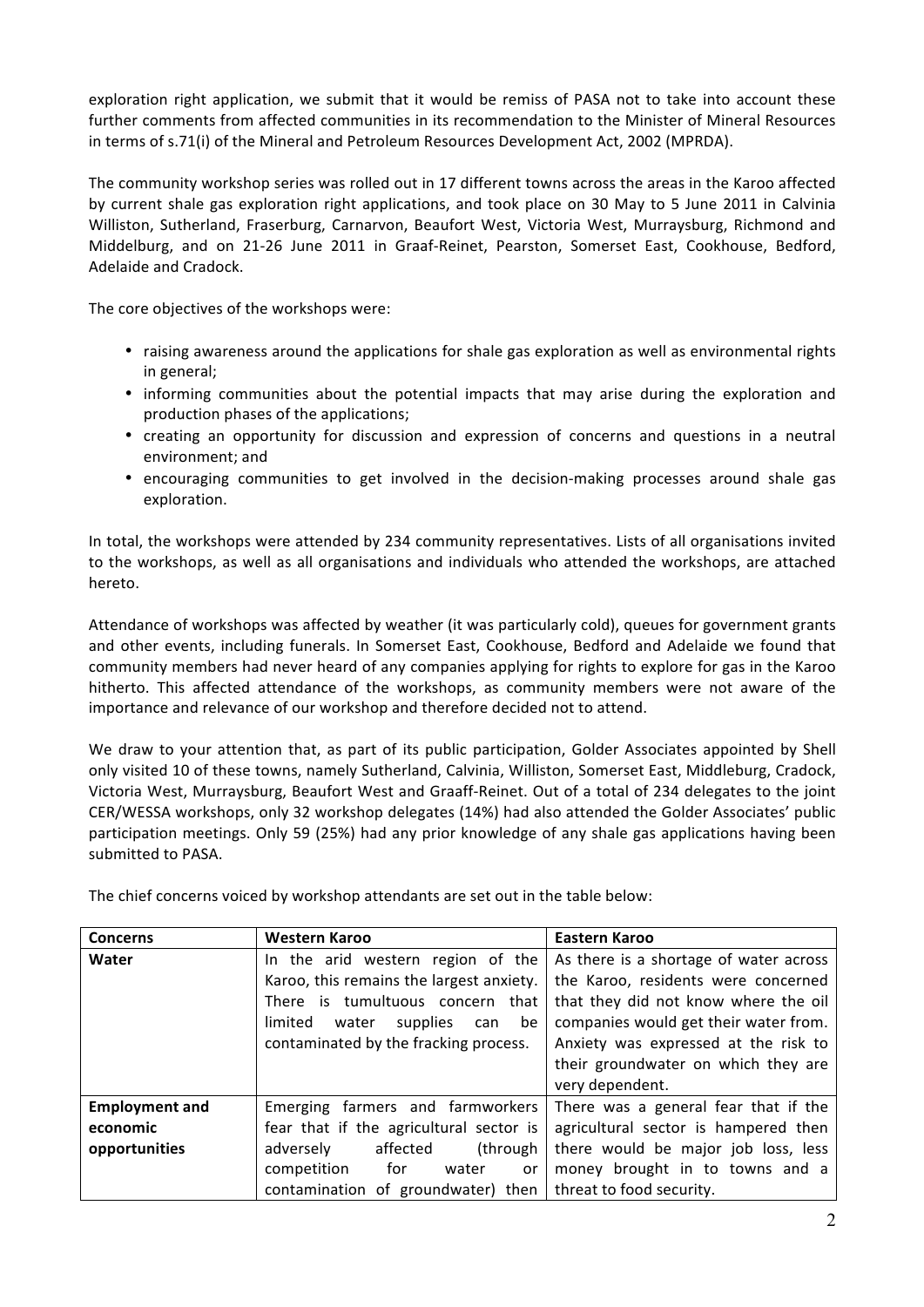exploration right application, we submit that it would be remiss of PASA not to take into account these further comments from affected communities in its recommendation to the Minister of Mineral Resources in terms of s.71(i) of the Mineral and Petroleum Resources Development Act, 2002 (MPRDA).

The community workshop series was rolled out in 17 different towns across the areas in the Karoo affected by current shale gas exploration right applications, and took place on 30 May to 5 June 2011 in Calvinia Williston, Sutherland, Fraserburg, Carnarvon, Beaufort West, Victoria West, Murraysburg, Richmond and Middelburg, and on 21-26 June 2011 in Graaf-Reinet, Pearston, Somerset East, Cookhouse, Bedford, Adelaide and Cradock.

The core objectives of the workshops were:

- raising awareness around the applications for shale gas exploration as well as environmental rights in general;
- informing communities about the potential impacts that may arise during the exploration and production phases of the applications;
- creating an opportunity for discussion and expression of concerns and questions in a neutral environment; and
- encouraging communities to get involved in the decision-making processes around shale gas exploration.#

In total, the workshops were attended by 234 community representatives. Lists of all organisations invited to the workshops, as well as all organisations and individuals who attended the workshops, are attached hereto.

Attendance of workshops was affected by weather (it was particularly cold), queues for government grants and other events, including funerals. In Somerset East, Cookhouse, Bedford and Adelaide we found that community members had never heard of any companies applying for rights to explore for gas in the Karoo hitherto. This affected attendance of the workshops, as community members were not aware of the importance and relevance of our workshop and therefore decided not to attend.

We draw to your attention that, as part of its public participation, Golder Associates appointed by Shell only visited 10 of these towns, namely Sutherland, Calvinia, Williston, Somerset East, Middleburg, Cradock, Victoria West, Murraysburg, Beaufort West and Graaff-Reinet. Out of a total of 234 delegates to the joint CER/WESSA workshops, only 32 workshop delegates (14%) had also attended the Golder Associates' public participation meetings. Only 59 (25%) had any prior knowledge of any shale gas applications having been submitted to PASA.

The chief concerns voiced by workshop attendants are set out in the table below:

| <b>Concerns</b>       | Western Karoo                                                 | Eastern Karoo                          |
|-----------------------|---------------------------------------------------------------|----------------------------------------|
| Water                 | In the arid western region of the                             | As there is a shortage of water across |
|                       | Karoo, this remains the largest anxiety.                      | the Karoo, residents were concerned    |
|                       | There is tumultuous concern that                              | that they did not know where the oil   |
|                       | limited<br>supplies<br>be<br>water<br>can                     | companies would get their water from.  |
|                       | contaminated by the fracking process.                         | Anxiety was expressed at the risk to   |
|                       |                                                               | their groundwater on which they are    |
|                       |                                                               | very dependent.                        |
| <b>Employment and</b> | Emerging farmers and farmworkers                              | There was a general fear that if the   |
| economic              | fear that if the agricultural sector is                       | agricultural sector is hampered then   |
| opportunities         | affected<br>adversely<br>(through                             | there would be major job loss, less    |
|                       | competition<br>for<br>water<br>or                             | money brought in to towns and a        |
|                       | contamination of groundwater) then   threat to food security. |                                        |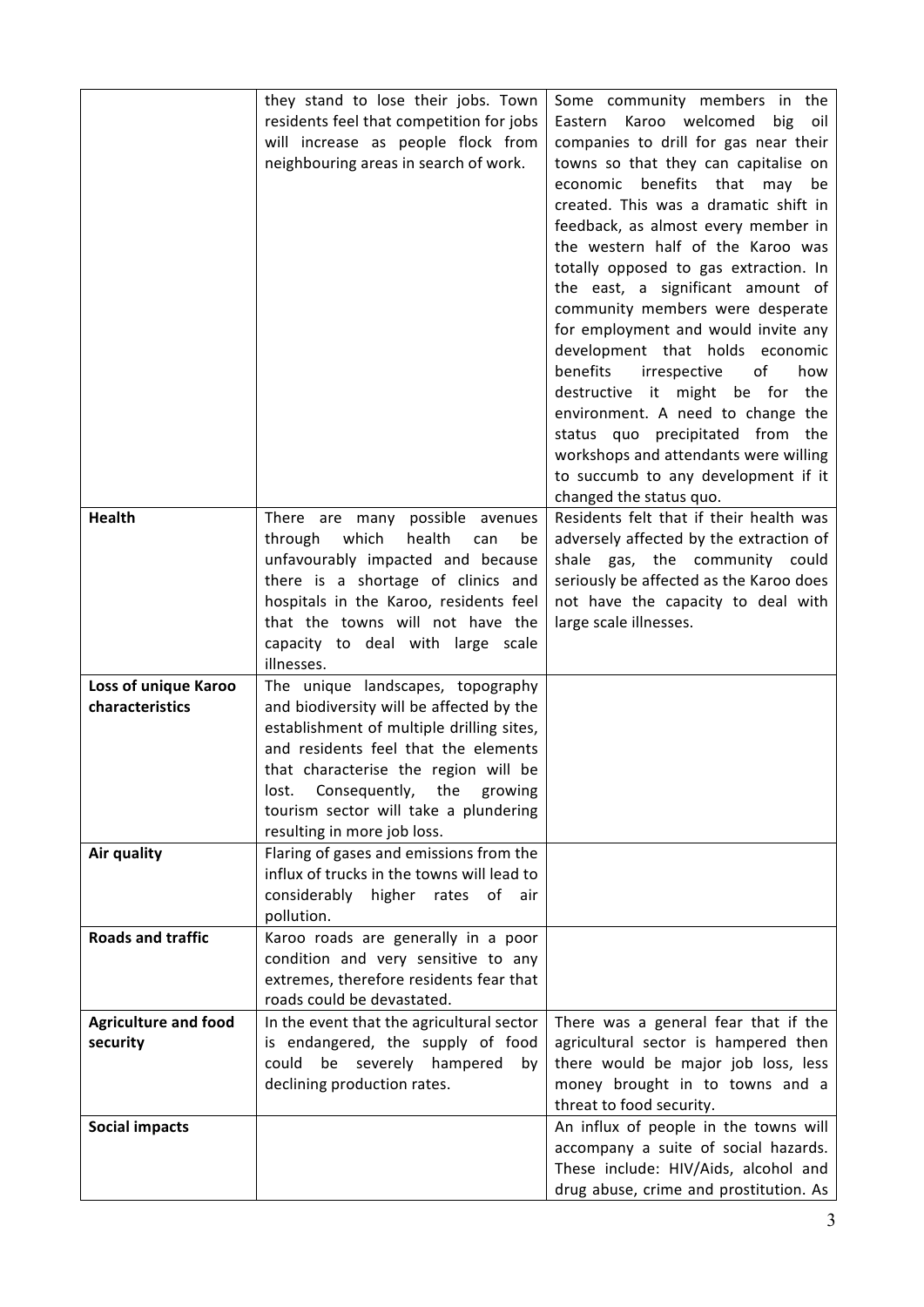|                             | they stand to lose their jobs. Town        | Some community members in the           |
|-----------------------------|--------------------------------------------|-----------------------------------------|
|                             | residents feel that competition for jobs   | Eastern Karoo welcomed<br>big<br>oil    |
|                             | will increase as people flock from         | companies to drill for gas near their   |
|                             | neighbouring areas in search of work.      | towns so that they can capitalise on    |
|                             |                                            | economic benefits that may<br>be        |
|                             |                                            | created. This was a dramatic shift in   |
|                             |                                            |                                         |
|                             |                                            | feedback, as almost every member in     |
|                             |                                            | the western half of the Karoo was       |
|                             |                                            | totally opposed to gas extraction. In   |
|                             |                                            | the east, a significant amount of       |
|                             |                                            | community members were desperate        |
|                             |                                            | for employment and would invite any     |
|                             |                                            | development that holds economic         |
|                             |                                            | benefits<br>irrespective<br>of<br>how   |
|                             |                                            | destructive it might be for<br>the      |
|                             |                                            | environment. A need to change the       |
|                             |                                            | status quo precipitated from the        |
|                             |                                            | workshops and attendants were willing   |
|                             |                                            | to succumb to any development if it     |
|                             |                                            | changed the status quo.                 |
| <b>Health</b>               | There are many possible avenues            | Residents felt that if their health was |
|                             | health<br>through<br>which<br>can<br>be    | adversely affected by the extraction of |
|                             | unfavourably impacted and because          | shale gas, the community could          |
|                             | there is a shortage of clinics and         | seriously be affected as the Karoo does |
|                             | hospitals in the Karoo, residents feel     | not have the capacity to deal with      |
|                             | that the towns will not have the           | large scale illnesses.                  |
|                             | capacity to deal with large scale          |                                         |
|                             | illnesses.                                 |                                         |
| Loss of unique Karoo        | The unique landscapes, topography          |                                         |
| characteristics             | and biodiversity will be affected by the   |                                         |
|                             | establishment of multiple drilling sites,  |                                         |
|                             | and residents feel that the elements       |                                         |
|                             | that characterise the region will be       |                                         |
|                             | Consequently,<br>the<br>growing<br>lost.   |                                         |
|                             | tourism sector will take a plundering      |                                         |
|                             | resulting in more job loss.                |                                         |
| Air quality                 | Flaring of gases and emissions from the    |                                         |
|                             | influx of trucks in the towns will lead to |                                         |
|                             | considerably<br>higher rates of air        |                                         |
|                             | pollution.                                 |                                         |
| <b>Roads and traffic</b>    | Karoo roads are generally in a poor        |                                         |
|                             | condition and very sensitive to any        |                                         |
|                             | extremes, therefore residents fear that    |                                         |
|                             | roads could be devastated.                 |                                         |
| <b>Agriculture and food</b> | In the event that the agricultural sector  | There was a general fear that if the    |
| security                    | is endangered, the supply of food          | agricultural sector is hampered then    |
|                             | be severely hampered<br>could<br>by        | there would be major job loss, less     |
|                             | declining production rates.                | money brought in to towns and a         |
|                             |                                            | threat to food security.                |
| <b>Social impacts</b>       |                                            | An influx of people in the towns will   |
|                             |                                            | accompany a suite of social hazards.    |
|                             |                                            | These include: HIV/Aids, alcohol and    |
|                             |                                            | drug abuse, crime and prostitution. As  |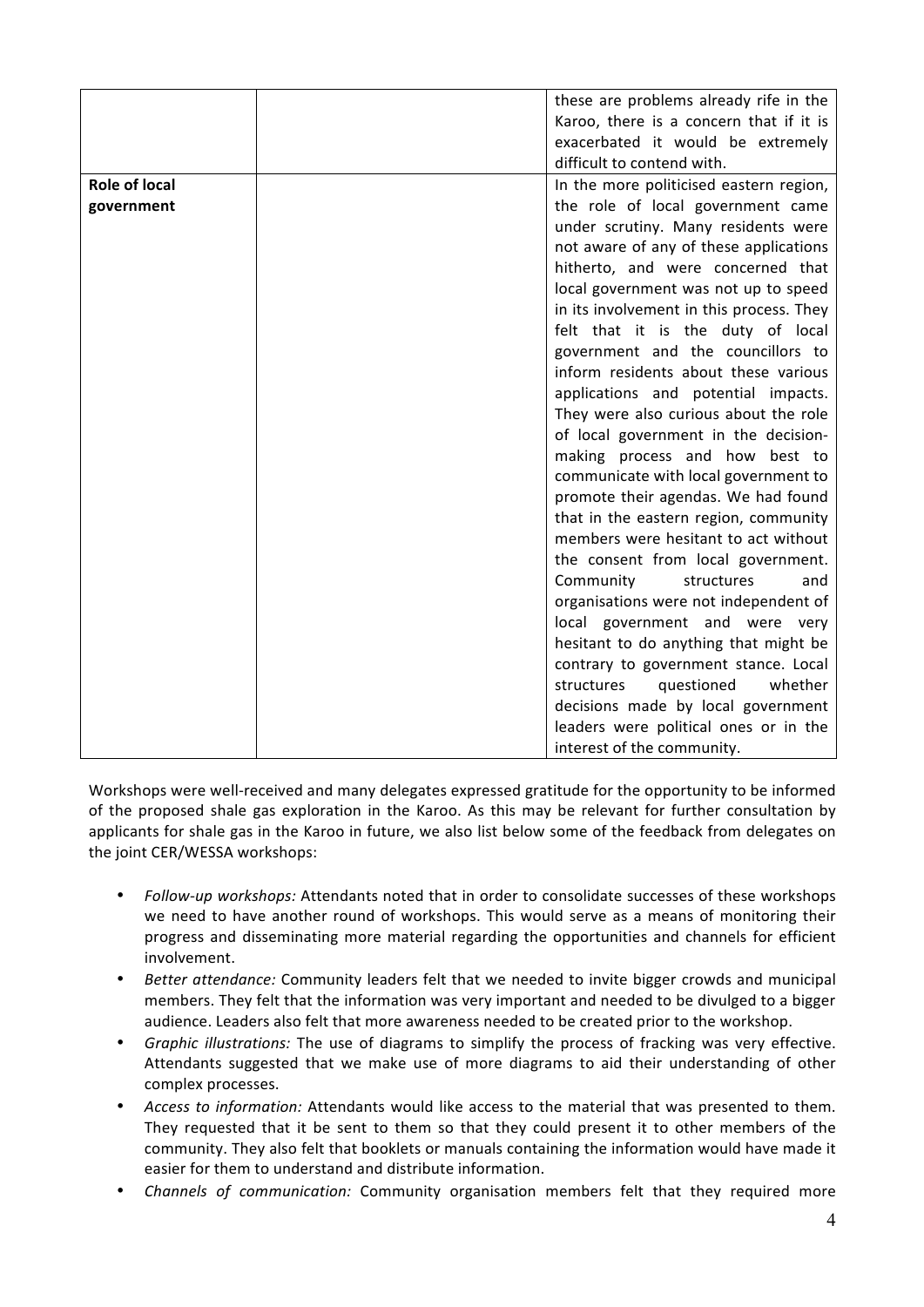|                      | these are problems already rife in the   |
|----------------------|------------------------------------------|
|                      | Karoo, there is a concern that if it is  |
|                      | exacerbated it would be extremely        |
|                      | difficult to contend with.               |
| <b>Role of local</b> |                                          |
|                      | In the more politicised eastern region,  |
| government           | the role of local government came        |
|                      | under scrutiny. Many residents were      |
|                      | not aware of any of these applications   |
|                      | hitherto, and were concerned that        |
|                      | local government was not up to speed     |
|                      | in its involvement in this process. They |
|                      | felt that it is the duty of local        |
|                      | government and the councillors to        |
|                      | inform residents about these various     |
|                      | applications and potential impacts.      |
|                      | They were also curious about the role    |
|                      | of local government in the decision-     |
|                      | making process and how best to           |
|                      | communicate with local government to     |
|                      | promote their agendas. We had found      |
|                      | that in the eastern region, community    |
|                      | members were hesitant to act without     |
|                      | the consent from local government.       |
|                      | Community<br>structures<br>and           |
|                      | organisations were not independent of    |
|                      | local government and were very           |
|                      | hesitant to do anything that might be    |
|                      | contrary to government stance. Local     |
|                      | structures<br>questioned<br>whether      |
|                      | decisions made by local government       |
|                      | leaders were political ones or in the    |
|                      | interest of the community.               |

Workshops were well-received and many delegates expressed gratitude for the opportunity to be informed of the proposed shale gas exploration in the Karoo. As this may be relevant for further consultation by applicants for shale gas in the Karoo in future, we also list below some of the feedback from delegates on the joint CER/WESSA workshops:

- *Follow-up workshops:* Attendants noted that in order to consolidate successes of these workshops we need to have another round of workshops. This would serve as a means of monitoring their progress and disseminating more material regarding the opportunities and channels for efficient involvement.
- *Better attendance:* Community leaders felt that we needed to invite bigger crowds and municipal members. They felt that the information was very important and needed to be divulged to a bigger audience. Leaders also felt that more awareness needed to be created prior to the workshop.
- *Graphic illustrations:* The use of diagrams to simplify the process of fracking was very effective. Attendants suggested that we make use of more diagrams to aid their understanding of other complex processes.
- *Access to information:* Attendants would like access to the material that was presented to them. They requested that it be sent to them so that they could present it to other members of the community. They also felt that booklets or manuals containing the information would have made it easier for them to understand and distribute information.
- *Channels of communication:* Community organisation members felt that they required more